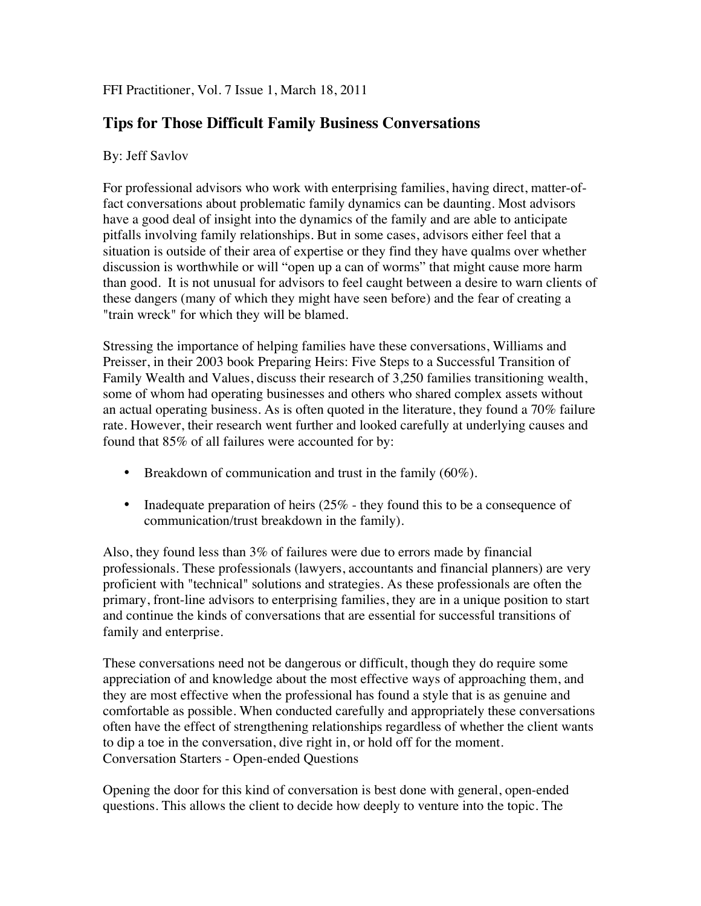#### FFI Practitioner, Vol. 7 Issue 1, March 18, 2011

# **Tips for Those Difficult Family Business Conversations**

#### By: Jeff Savlov

For professional advisors who work with enterprising families, having direct, matter-offact conversations about problematic family dynamics can be daunting. Most advisors have a good deal of insight into the dynamics of the family and are able to anticipate pitfalls involving family relationships. But in some cases, advisors either feel that a situation is outside of their area of expertise or they find they have qualms over whether discussion is worthwhile or will "open up a can of worms" that might cause more harm than good. It is not unusual for advisors to feel caught between a desire to warn clients of these dangers (many of which they might have seen before) and the fear of creating a "train wreck" for which they will be blamed.

Stressing the importance of helping families have these conversations, Williams and Preisser, in their 2003 book Preparing Heirs: Five Steps to a Successful Transition of Family Wealth and Values, discuss their research of 3,250 families transitioning wealth, some of whom had operating businesses and others who shared complex assets without an actual operating business. As is often quoted in the literature, they found a 70% failure rate. However, their research went further and looked carefully at underlying causes and found that 85% of all failures were accounted for by:

- Breakdown of communication and trust in the family (60%).
- Inadequate preparation of heirs  $(25\%$  they found this to be a consequence of communication/trust breakdown in the family).

Also, they found less than 3% of failures were due to errors made by financial professionals. These professionals (lawyers, accountants and financial planners) are very proficient with "technical" solutions and strategies. As these professionals are often the primary, front-line advisors to enterprising families, they are in a unique position to start and continue the kinds of conversations that are essential for successful transitions of family and enterprise.

These conversations need not be dangerous or difficult, though they do require some appreciation of and knowledge about the most effective ways of approaching them, and they are most effective when the professional has found a style that is as genuine and comfortable as possible. When conducted carefully and appropriately these conversations often have the effect of strengthening relationships regardless of whether the client wants to dip a toe in the conversation, dive right in, or hold off for the moment. Conversation Starters - Open-ended Questions

Opening the door for this kind of conversation is best done with general, open-ended questions. This allows the client to decide how deeply to venture into the topic. The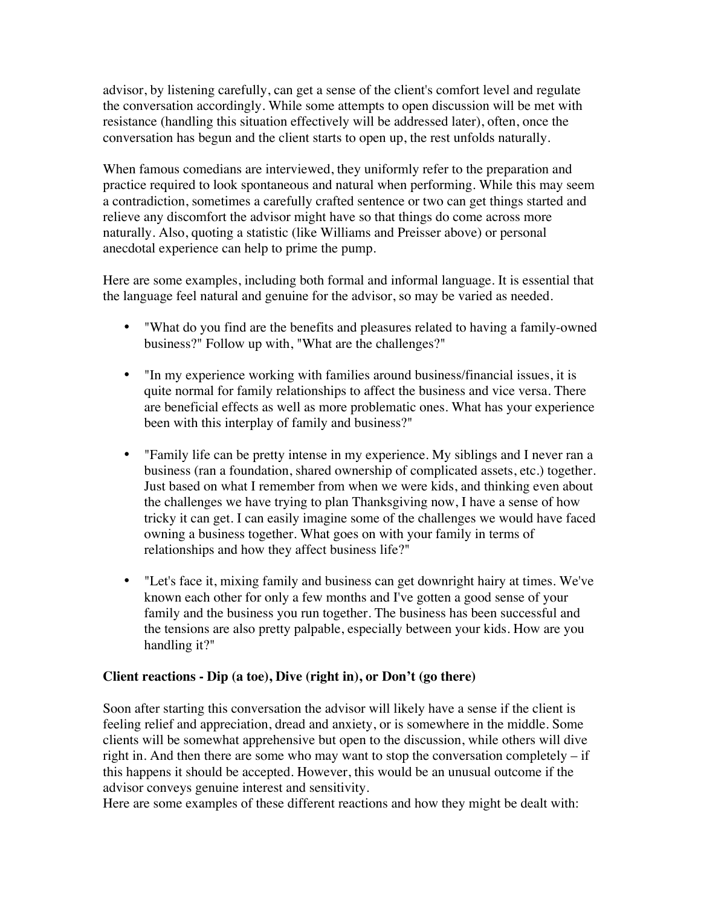advisor, by listening carefully, can get a sense of the client's comfort level and regulate the conversation accordingly. While some attempts to open discussion will be met with resistance (handling this situation effectively will be addressed later), often, once the conversation has begun and the client starts to open up, the rest unfolds naturally.

When famous comedians are interviewed, they uniformly refer to the preparation and practice required to look spontaneous and natural when performing. While this may seem a contradiction, sometimes a carefully crafted sentence or two can get things started and relieve any discomfort the advisor might have so that things do come across more naturally. Also, quoting a statistic (like Williams and Preisser above) or personal anecdotal experience can help to prime the pump.

Here are some examples, including both formal and informal language. It is essential that the language feel natural and genuine for the advisor, so may be varied as needed.

- "What do you find are the benefits and pleasures related to having a family-owned business?" Follow up with, "What are the challenges?"
- "In my experience working with families around business/financial issues, it is quite normal for family relationships to affect the business and vice versa. There are beneficial effects as well as more problematic ones. What has your experience been with this interplay of family and business?"
- "Family life can be pretty intense in my experience. My siblings and I never ran a business (ran a foundation, shared ownership of complicated assets, etc.) together. Just based on what I remember from when we were kids, and thinking even about the challenges we have trying to plan Thanksgiving now, I have a sense of how tricky it can get. I can easily imagine some of the challenges we would have faced owning a business together. What goes on with your family in terms of relationships and how they affect business life?"
- "Let's face it, mixing family and business can get downright hairy at times. We've known each other for only a few months and I've gotten a good sense of your family and the business you run together. The business has been successful and the tensions are also pretty palpable, especially between your kids. How are you handling it?"

### **Client reactions - Dip (a toe), Dive (right in), or Don't (go there)**

Soon after starting this conversation the advisor will likely have a sense if the client is feeling relief and appreciation, dread and anxiety, or is somewhere in the middle. Some clients will be somewhat apprehensive but open to the discussion, while others will dive right in. And then there are some who may want to stop the conversation completely – if this happens it should be accepted. However, this would be an unusual outcome if the advisor conveys genuine interest and sensitivity.

Here are some examples of these different reactions and how they might be dealt with: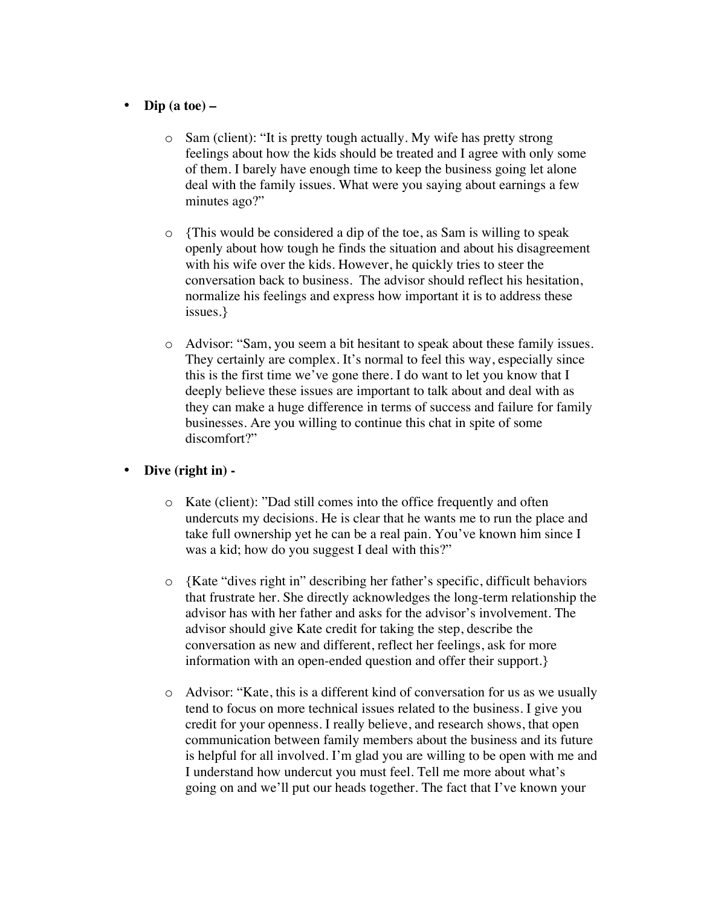- **Dip (a toe) –**
	- o Sam (client): "It is pretty tough actually. My wife has pretty strong feelings about how the kids should be treated and I agree with only some of them. I barely have enough time to keep the business going let alone deal with the family issues. What were you saying about earnings a few minutes ago?"
	- o {This would be considered a dip of the toe, as Sam is willing to speak openly about how tough he finds the situation and about his disagreement with his wife over the kids. However, he quickly tries to steer the conversation back to business. The advisor should reflect his hesitation, normalize his feelings and express how important it is to address these issues.}
	- o Advisor: "Sam, you seem a bit hesitant to speak about these family issues. They certainly are complex. It's normal to feel this way, especially since this is the first time we've gone there. I do want to let you know that I deeply believe these issues are important to talk about and deal with as they can make a huge difference in terms of success and failure for family businesses. Are you willing to continue this chat in spite of some discomfort?"
- **Dive (right in)** 
	- o Kate (client): "Dad still comes into the office frequently and often undercuts my decisions. He is clear that he wants me to run the place and take full ownership yet he can be a real pain. You've known him since I was a kid; how do you suggest I deal with this?"
	- o {Kate "dives right in" describing her father's specific, difficult behaviors that frustrate her. She directly acknowledges the long-term relationship the advisor has with her father and asks for the advisor's involvement. The advisor should give Kate credit for taking the step, describe the conversation as new and different, reflect her feelings, ask for more information with an open-ended question and offer their support.}
	- o Advisor: "Kate, this is a different kind of conversation for us as we usually tend to focus on more technical issues related to the business. I give you credit for your openness. I really believe, and research shows, that open communication between family members about the business and its future is helpful for all involved. I'm glad you are willing to be open with me and I understand how undercut you must feel. Tell me more about what's going on and we'll put our heads together. The fact that I've known your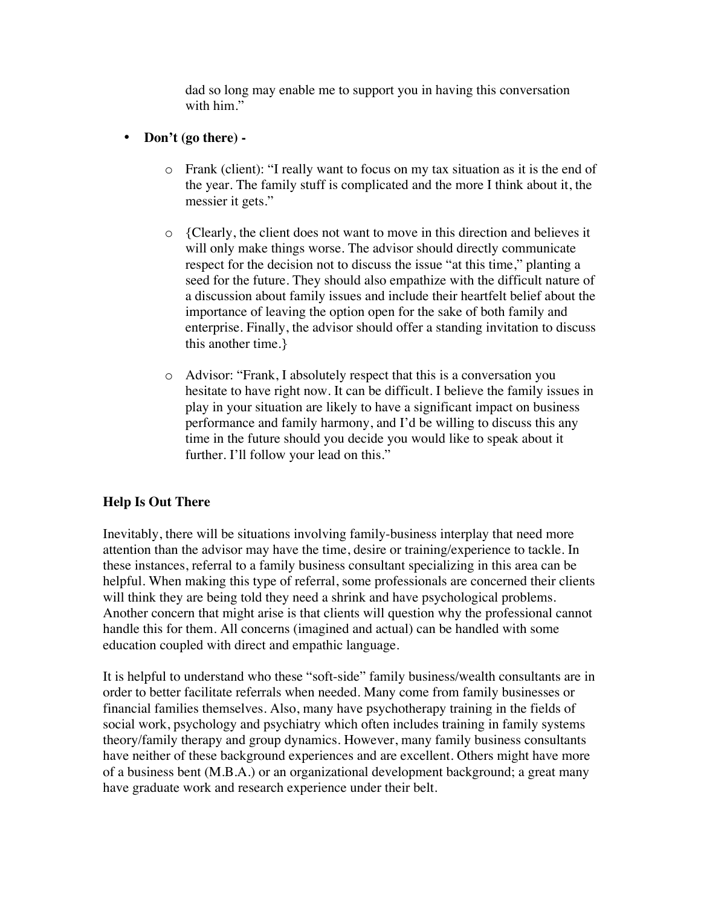dad so long may enable me to support you in having this conversation with him."

- **Don't (go there)** 
	- o Frank (client): "I really want to focus on my tax situation as it is the end of the year. The family stuff is complicated and the more I think about it, the messier it gets."
	- o {Clearly, the client does not want to move in this direction and believes it will only make things worse. The advisor should directly communicate respect for the decision not to discuss the issue "at this time," planting a seed for the future. They should also empathize with the difficult nature of a discussion about family issues and include their heartfelt belief about the importance of leaving the option open for the sake of both family and enterprise. Finally, the advisor should offer a standing invitation to discuss this another time.}
	- o Advisor: "Frank, I absolutely respect that this is a conversation you hesitate to have right now. It can be difficult. I believe the family issues in play in your situation are likely to have a significant impact on business performance and family harmony, and I'd be willing to discuss this any time in the future should you decide you would like to speak about it further. I'll follow your lead on this."

### **Help Is Out There**

Inevitably, there will be situations involving family-business interplay that need more attention than the advisor may have the time, desire or training/experience to tackle. In these instances, referral to a family business consultant specializing in this area can be helpful. When making this type of referral, some professionals are concerned their clients will think they are being told they need a shrink and have psychological problems. Another concern that might arise is that clients will question why the professional cannot handle this for them. All concerns (imagined and actual) can be handled with some education coupled with direct and empathic language.

It is helpful to understand who these "soft-side" family business/wealth consultants are in order to better facilitate referrals when needed. Many come from family businesses or financial families themselves. Also, many have psychotherapy training in the fields of social work, psychology and psychiatry which often includes training in family systems theory/family therapy and group dynamics. However, many family business consultants have neither of these background experiences and are excellent. Others might have more of a business bent (M.B.A.) or an organizational development background; a great many have graduate work and research experience under their belt.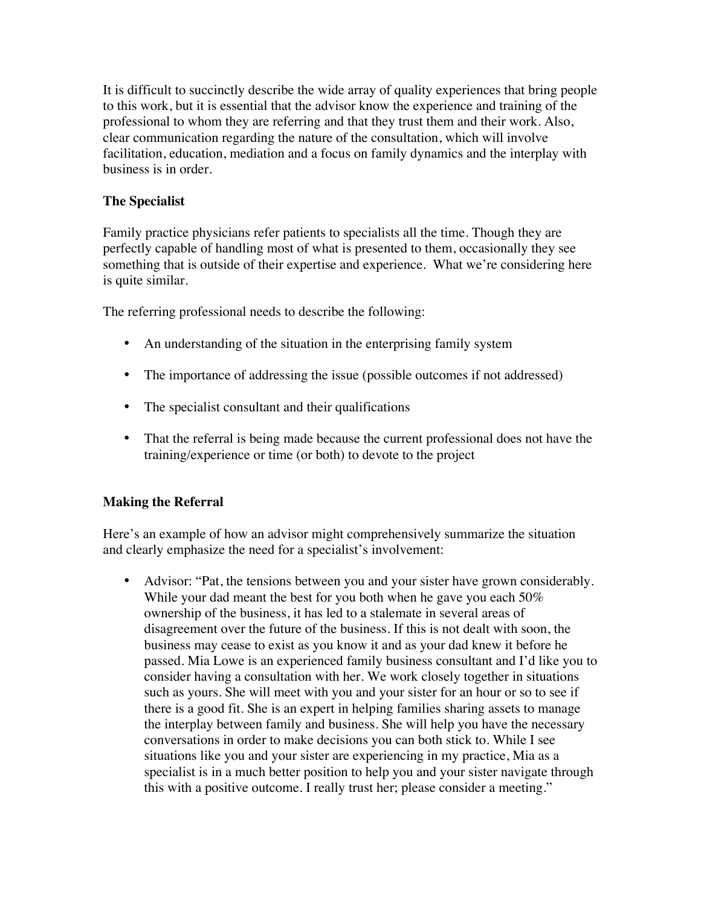It is difficult to succinctly describe the wide array of quality experiences that bring people to this work, but it is essential that the advisor know the experience and training of the professional to whom they are referring and that they trust them and their work. Also, clear communication regarding the nature of the consultation, which will involve facilitation, education, mediation and a focus on family dynamics and the interplay with business is in order.

## **The Specialist**

Family practice physicians refer patients to specialists all the time. Though they are perfectly capable of handling most of what is presented to them, occasionally they see something that is outside of their expertise and experience. What we're considering here is quite similar.

The referring professional needs to describe the following:

- An understanding of the situation in the enterprising family system
- The importance of addressing the issue (possible outcomes if not addressed)
- The specialist consultant and their qualifications
- That the referral is being made because the current professional does not have the training/experience or time (or both) to devote to the project

## **Making the Referral**

Here's an example of how an advisor might comprehensively summarize the situation and clearly emphasize the need for a specialist's involvement:

• Advisor: "Pat, the tensions between you and your sister have grown considerably. While your dad meant the best for you both when he gave you each 50% ownership of the business, it has led to a stalemate in several areas of disagreement over the future of the business. If this is not dealt with soon, the business may cease to exist as you know it and as your dad knew it before he passed. Mia Lowe is an experienced family business consultant and I'd like you to consider having a consultation with her. We work closely together in situations such as yours. She will meet with you and your sister for an hour or so to see if there is a good fit. She is an expert in helping families sharing assets to manage the interplay between family and business. She will help you have the necessary conversations in order to make decisions you can both stick to. While I see situations like you and your sister are experiencing in my practice, Mia as a specialist is in a much better position to help you and your sister navigate through this with a positive outcome. I really trust her; please consider a meeting."